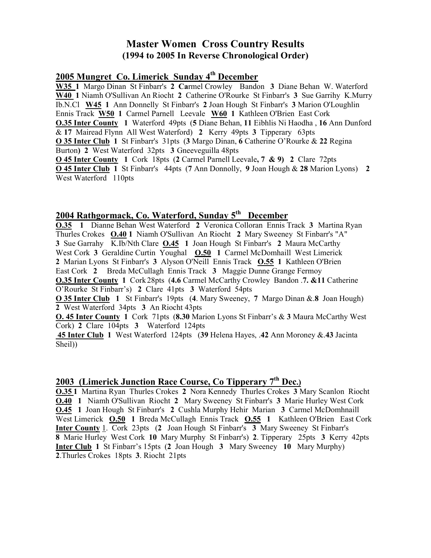## Master Women Cross Country Results (1994 to 2005 In Reverse Chronological Order)

#### 2005 Mungret Co. Limerick Sunday 4<sup>th</sup> December

W35 1 Margo Dinan St Finbarr's 2 Carmel Crowley Bandon 3 Diane Behan W. Waterford W40 1 Niamh O'Sullivan An Riocht 2 Catherine O'Rourke St Finbarr's 3 Sue Garrihy K.Murry Ib.N.Cl W45 1 Ann Donnelly St Finbarr's 2 Joan Hough St Finbarr's 3 Marion O'Loughlin Ennis Track W50 1 Carmel Parnell Leevale W60 1 Kathleen O'Brien East Cork **O.35 Inter County** 1 Waterford 49pts (5 Diane Behan, 11 Eibhlis Ni Haodha, 16 Ann Dunford & 17 Mairead Flynn All West Waterford) 2 Kerry 49pts 3 Tipperary 63pts O 35 Inter Club 1 St Finbarr's 31pts (3 Margo Dinan, 6 Catherine O'Rourke & 22 Regina Burton) 2 West Waterford 32pts 3 Gneeveguilla 48pts O 45 Inter County 1 Cork 18pts (2 Carmel Parnell Leevale, 7 & 9) 2 Clare 72pts O 45 Inter Club 1 St Finbarr's 44pts (7 Ann Donnolly, 9 Joan Hough & 28 Marion Lyons) 2 West Waterford 110pts

### 2004 Rathgormack, Co. Waterford, Sunday 5<sup>th</sup> December

O.35 1 Dianne Behan West Waterford 2 Veronica Colloran Ennis Track 3 Martina Ryan Thurles Crokes O.40 1 Niamh O'Sullivan An Riocht 2 Mary Sweeney St Finbarr's "A" 3 Sue Garrahy K.Ib/Nth Clare **0.45** 1 Joan Hough St Finbarr's 2 Maura McCarthy West Cork 3 Geraldine Curtin Youghal **O.50 1 Carmel McDomhaill West Limerick** 2 Marian Lyons St Finbarr's 3 Alyson O'Neill Ennis Track O.55 1 Kathleen O'Brien East Cork 2 Breda McCullagh Ennis Track 3 Maggie Dunne Grange Fermoy O.35 Inter County 1 Cork 28pts (4.6 Carmel McCarthy Crowley Bandon .7. &11 Catherine O'Rourke St Finbarr's) 2 Clare 41pts 3 Waterford 54pts O 35 Inter Club 1 St Finbarr's 19pts (4. Mary Sweeney, 7 Margo Dinan &.8 Joan Hough) 2 West Waterford 34pts 3 An Riocht 43pts O. 45 Inter County 1 Cork 71pts (8.30 Marion Lyons St Finbarr's & 3 Maura McCarthy West Cork) 2 Clare 104pts 3 Waterford 124pts

 45 Inter Club 1 West Waterford 124pts (39 Helena Hayes, .42 Ann Moroney &.43 Jacinta Sheil))

## 2003 (Limerick Junction Race Course, Co Tipperary 7<sup>th</sup> Dec.)

O.35 1 Martina Ryan Thurles Crokes 2 Nora Kennedy Thurles Crokes 3 Mary Scanlon Riocht O.40 1 Niamh O'Sullivan Riocht 2 Mary Sweeney St Finbarr's 3 Marie Hurley West Cork O.45 1 Joan Hough St Finbarr's 2 Cushla Murphy Hehir Marian 3 Carmel McDomhnaill West Limerick **O.50 1** Breda McCullagh Ennis Track **O.55 1** Kathleen O'Brien East Cork Inter County 1. Cork 23pts (2 Joan Hough St Finbarr's 3 Mary Sweeney St Finbarr's 8 Marie Hurley West Cork 10 Mary Murphy St Finbarr's) 2. Tipperary 25pts 3 Kerry 42pts Inter Club 1 St Finbarr's 15pts (2 Joan Hough 3 Mary Sweeney 10 Mary Murphy) 2.Thurles Crokes 18pts 3. Riocht 21pts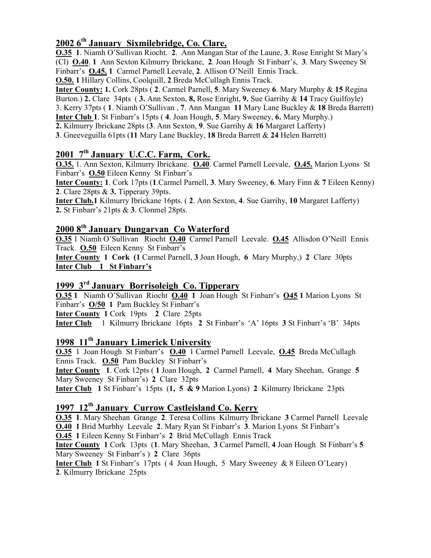## $20026<sup>th</sup>$  January Sixmilebridge, Co. Clare,

O.35 1. Niamh O'Sullivan Riocht. 2. Ann Mangan Star of the Laune, 3. Rose Enright St Mary's (Cl) O.40. 1 Ann Sexton Kilmurry Ibrickane, 2. Joan Hough St Finbarr's, 3. Mary Sweeney St Finbarr's O.45. 1 Carmel Parnell Leevale, 2. Allison O'Neill Ennis Track.

O.50. 1 Hillary Collins, Coolquill, 2 Breda McCullagh Ennis Track.

Inter County: 1. Cork 28pts ( 2. Carmel Parnell, 5. Mary Sweeney 6. Mary Murphy & 15 Regina Burton.) 2. Clare 34pts (3. Ann Sexton, 8, Rose Enright, 9. Sue Garrihy & 14 Tracy Guilfoyle) 3. Kerry 37pts ( 1. Niamh O'Sullivan , 7. Ann Mangan 11 Mary Lane Buckley & 18 Breda Barrett) Inter Club 1. St Finbarr's 15pts ( 4. Joan Hough, 5. Mary Sweeney, 6. Mary Murphy.)

2. Kilmurry Ibrickane 28pts  $(3. \text{Ann}$  Sexton, 9. Sue Garrihy  $\&$  16 Margaret Lafferty)

3. Gneeveguilla 61pts (11 Mary Lane Buckley, 18 Breda Barrett & 24 Helen Barrett)

#### $2001$   $7<sup>th</sup>$  January U.C.C. Farm, Cork.

O.35. 1. Ann Sexton, Kilmurry Ibrickane. O.40. Carmel Parnell Leevale, O.45. Marion Lyons St Finbarr's O.50 Eileen Kenny St Finbarr's

Inter County: 1. Cork 17pts (1. Carmel Parnell, 3. Mary Sweeney, 6. Mary Finn & 7 Eileen Kenny) 2. Clare 28pts & 3. Tipperary 39pts.

Inter Club.1 Kilmurry Ibrickane 16pts. ( 2. Ann Sexton, 4. Sue Garrihy, 10 Margaret Lafferty) 2. St Finbarr's 21pts & 3. Clonmel 28pts.

## 2000 8<sup>th</sup> January Dungarvan Co Waterford

O.35 1 Niamh O'Sullivan Riocht O.40 Carmel Parnell Leevale. O.45 Allisdon O'Neill Ennis Track. O.50 Eileen Kenny St Finbarr's

Inter County 1 Cork (1 Carmel Parnell, 3 Joan Hough, 6 Mary Murphy,) 2 Clare 30pts Inter Club 1 St Finbarr's

### 1999 3rd January Borrisoleigh Co. Tipperary

O.35 1 Niamh O'Sullivan Riocht O.40 1 Joan Hough St Finbarr's O45 1 Marion Lyons St Finbarr's O/50 1 Pam Buckley St Finbarr's

Inter County 1 Cork 19pts 2 Clare 25pts

Inter Club 1 Kilmurry Ibrickane 16pts 2 St Finbarr's 'A' 16pts 3 St Finbarr's 'B' 34pts

#### 1998 11<sup>th</sup> January Limerick University

O.35 1 Joan Hough St Finbarr's O.40 1 Carmel Parnell Leevale, O.45 Breda McCullagh Ennis Track. O.50 Pam Buckley St Finbarr's

Inter County 1. Cork 12pts ( 1 Joan Hough, 2 Carmel Parnell, 4 Mary Sheehan, Grange 5 Mary Sweeney St Finbarr's) 2 Clare 32pts

Inter Club 1 St Finbarr's 15pts (1, 5 & 9 Marion Lyons) 2 Kilmurry Ibrickane 23pts

## 1997 12<sup>th</sup> January Currow Castleisland Co. Kerry

O.35 1. Mary Sheehan Grange 2. Teresa Collins Kilmurry Ibrickane 3 Carmel Parnell Leevale O.40 1 Brid Murbhy Leevale 2. Mary Ryan St Finbarr's 3. Marion Lyons St Finbarr's O.45 1 Eileen Kenny St Finbarr's 2 Brid McCullagh Ennis Track

Inter County 1 Cork 13pts (1. Mary Sheehan, 3 Carmel Parnell, 4 Joan Hough St Finbarr's 5 Mary Sweeney St Finbarr's ) 2 Clare 36pts

Inter Club 1 St Finbarr's 17pts ( 4 Joan Hough, 5 Mary Sweeney & 8 Eileen O'Leary) 2. Kilmurry Ibrickane 25pts